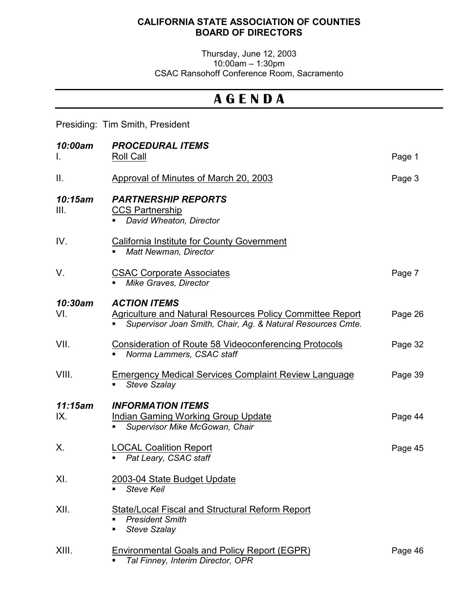## **CALIFORNIA STATE ASSOCIATION OF COUNTIES BOARD OF DIRECTORS**

Thursday, June 12, 2003 10:00am – 1:30pm CSAC Ransohoff Conference Room, Sacramento

## **A G E N D A**

Presiding: Tim Smith, President

| 10:00am<br>L.   | <b>PROCEDURAL ITEMS</b><br><b>Roll Call</b>                                                                                                            | Page 1  |
|-----------------|--------------------------------------------------------------------------------------------------------------------------------------------------------|---------|
| Ш.              | Approval of Minutes of March 20, 2003                                                                                                                  | Page 3  |
| 10:15am<br>III. | <b>PARTNERSHIP REPORTS</b><br><b>CCS Partnership</b><br>David Wheaton, Director                                                                        |         |
| IV.             | California Institute for County Government<br><b>Matt Newman, Director</b>                                                                             |         |
| V.              | <b>CSAC Corporate Associates</b><br><b>Mike Graves, Director</b>                                                                                       | Page 7  |
| 10:30am<br>VI.  | <b>ACTION ITEMS</b><br><b>Agriculture and Natural Resources Policy Committee Report</b><br>Supervisor Joan Smith, Chair, Ag. & Natural Resources Cmte. | Page 26 |
| VII.            | <b>Consideration of Route 58 Videoconferencing Protocols</b><br>Norma Lammers, CSAC staff                                                              | Page 32 |
| VIII.           | <b>Emergency Medical Services Complaint Review Language</b><br><b>Steve Szalay</b><br>٠                                                                | Page 39 |
| 11:15am<br>IX.  | <b>INFORMATION ITEMS</b><br><b>Indian Gaming Working Group Update</b><br>Supervisor Mike McGowan, Chair<br>٠.                                          | Page 44 |
| Х.              | <b>LOCAL Coalition Report</b><br>Pat Leary, CSAC staff                                                                                                 | Page 45 |
| XI.             | 2003-04 State Budget Update<br><b>Steve Keil</b>                                                                                                       |         |
| XII.            | State/Local Fiscal and Structural Reform Report<br><b>President Smith</b><br><b>Steve Szalay</b><br>٠                                                  |         |
| XIII.           | Environmental Goals and Policy Report (EGPR)<br>Tal Finney, Interim Director, OPR                                                                      | Page 46 |